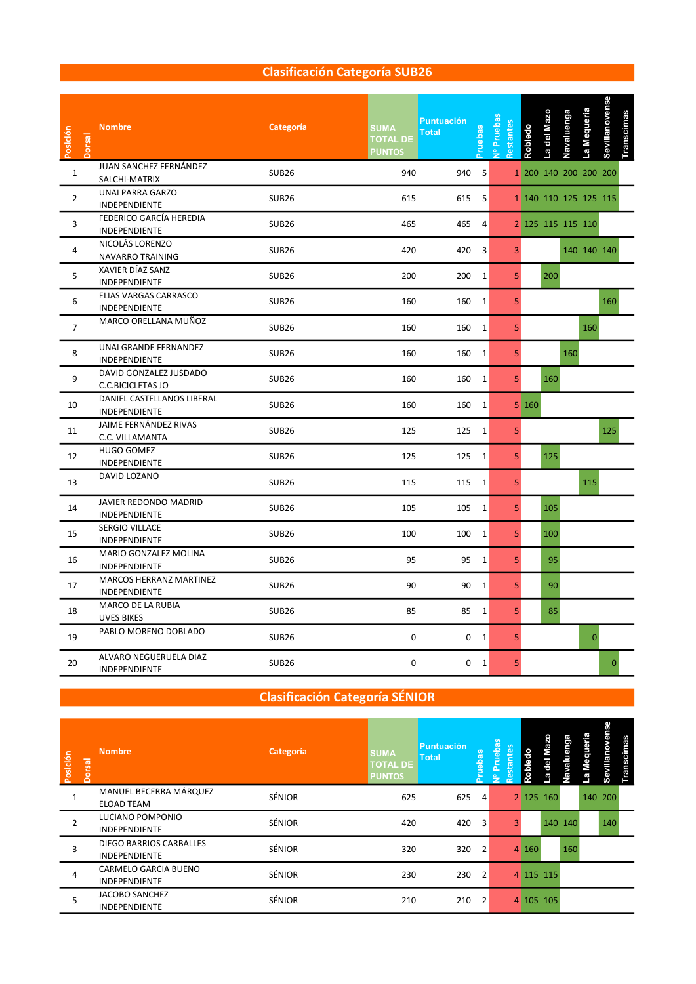#### Clasificación Categoría SUB26

| Posición<br>Jorsal | <b>Nombre</b>                               | Categoría    | <b>SUMA</b><br><b>TOTAL DE</b><br><b>PUNTOS</b> | <b>Puntuación</b><br><b>Total</b> | ruebas         | Vº Prueba<br>testantes | Robledo | del Mazo<br>$\mathbf{e}$ | Navaluenga | La Mequeria           | Sevillanovense | Transcimas |  |  |
|--------------------|---------------------------------------------|--------------|-------------------------------------------------|-----------------------------------|----------------|------------------------|---------|--------------------------|------------|-----------------------|----------------|------------|--|--|
| $\mathbf{1}$       | JUAN SANCHEZ FERNÁNDEZ<br>SALCHI-MATRIX     | <b>SUB26</b> | 940                                             | 940                               | $-5$           |                        |         |                          |            | 1 200 140 200 200 200 |                |            |  |  |
| $\overline{2}$     | <b>UNAI PARRA GARZO</b><br>INDEPENDIENTE    | <b>SUB26</b> | 615                                             |                                   | 615 5          |                        |         |                          |            | 1 140 110 125 125 115 |                |            |  |  |
| $\overline{3}$     | FEDERICO GARCÍA HEREDIA<br>INDEPENDIENTE    | <b>SUB26</b> | 465                                             | 465                               | $\overline{4}$ |                        |         |                          |            | 2 125 115 115 110     |                |            |  |  |
| $\overline{4}$     | NICOLÁS LORENZO<br>NAVARRO TRAINING         | <b>SUB26</b> | 420                                             |                                   | 420 3          | $\overline{3}$         |         |                          |            | 140 140 140           |                |            |  |  |
| 5                  | XAVIER DÍAZ SANZ<br>INDEPENDIENTE           | <b>SUB26</b> | 200                                             |                                   | 200 1          | 5 <sub>1</sub>         |         | 200                      |            |                       |                |            |  |  |
| 6                  | ELIAS VARGAS CARRASCO<br>INDEPENDIENTE      | <b>SUB26</b> | 160                                             | 160                               | 1              | 5                      |         |                          |            |                       | 160            |            |  |  |
| $\overline{7}$     | MARCO ORELLANA MUÑOZ                        | <b>SUB26</b> | 160                                             |                                   | 160 1          | 5                      |         |                          |            | 160                   |                |            |  |  |
| 8                  | UNAI GRANDE FERNANDEZ<br>INDEPENDIENTE      | <b>SUB26</b> | 160                                             |                                   | 160 1          | 5 <sup>1</sup>         |         |                          | 160        |                       |                |            |  |  |
| 9                  | DAVID GONZALEZ JUSDADO<br>C.C.BICICLETAS JO | <b>SUB26</b> | 160                                             | 160                               | 1              | 5 <sup>1</sup>         |         | 160                      |            |                       |                |            |  |  |
| 10                 | DANIEL CASTELLANOS LIBERAL<br>INDEPENDIENTE | <b>SUB26</b> | 160                                             |                                   | 160 1          |                        | 5 160   |                          |            |                       |                |            |  |  |
| 11                 | JAIME FERNÁNDEZ RIVAS<br>C.C. VILLAMANTA    | <b>SUB26</b> | 125                                             |                                   | 125 1          | 5                      |         |                          |            |                       | 125            |            |  |  |
| 12                 | <b>HUGO GOMEZ</b><br>INDEPENDIENTE          | <b>SUB26</b> | 125                                             |                                   | 125 1          | 5 <sup>1</sup>         |         | 125                      |            |                       |                |            |  |  |
| 13                 | DAVID LOZANO                                | <b>SUB26</b> | 115                                             |                                   | 115 1          | 5                      |         |                          |            | 115                   |                |            |  |  |
| 14                 | JAVIER REDONDO MADRID<br>INDEPENDIENTE      | <b>SUB26</b> | 105                                             |                                   | 105 1          | 5 <sup>1</sup>         |         | 105                      |            |                       |                |            |  |  |
| 15                 | SERGIO VILLACE<br>INDEPENDIENTE             | <b>SUB26</b> | 100                                             |                                   | 100 1          | 5 <sup>1</sup>         |         | 100                      |            |                       |                |            |  |  |
| 16                 | MARIO GONZALEZ MOLINA<br>INDEPENDIENTE      | <b>SUB26</b> | 95                                              |                                   | 95 1           | 5 <sup>1</sup>         |         | 95                       |            |                       |                |            |  |  |
| 17                 | MARCOS HERRANZ MARTINEZ<br>INDEPENDIENTE    | <b>SUB26</b> | 90                                              |                                   | 90 1           | 5 <sup>1</sup>         |         | 90                       |            |                       |                |            |  |  |
| 18                 | MARCO DE LA RUBIA<br><b>UVES BIKES</b>      | <b>SUB26</b> | 85                                              |                                   | 85 1           | 5 <sup>1</sup>         |         | 85                       |            |                       |                |            |  |  |
| 19                 | PABLO MORENO DOBLADO                        | <b>SUB26</b> | $\mathbf 0$                                     |                                   | 0 <sub>1</sub> | 5 <sup>1</sup>         |         |                          |            | $\mathbf{0}$          |                |            |  |  |
| 20                 | ALVARO NEGUERUELA DIAZ<br>INDEPENDIENTE     | <b>SUB26</b> | $\mathbf 0$                                     |                                   | 0 <sub>1</sub> | 5.                     |         |                          |            |                       |                |            |  |  |

### Clasificación Categoría SÉNIOR

| Posición | <b>Nombre</b><br>Dorsal                                | Categoría     | <b>SUMA</b><br><b>TOTAL DE</b><br><b>PUNTOS</b> | Puntuación<br><b>Total</b> | <b>SC</b><br>eba | ័ន<br>٩<br>$\overline{9}$<br>stant<br>ے | ഗ<br>യ       | $\circ$<br>TO.<br>Roble |           | uenga<br>۵N | queria<br>Š<br>e. | ō<br>ō<br>villand<br>တိ | cimas<br>ans<br>E. |
|----------|--------------------------------------------------------|---------------|-------------------------------------------------|----------------------------|------------------|-----------------------------------------|--------------|-------------------------|-----------|-------------|-------------------|-------------------------|--------------------|
|          | MANUEL BECERRA MÁRQUEZ<br><b>ELOAD TEAM</b>            | SÉNIOR        | 625                                             | 625                        | $\overline{a}$   |                                         |              |                         | 2 125 160 |             |                   | 140 200                 |                    |
|          | LUCIANO POMPONIO<br>INDEPENDIENTE                      | <b>SÉNIOR</b> | 420                                             | 420                        | $\overline{3}$   |                                         | $\mathbf{3}$ |                         | 140 140   |             |                   | 140                     |                    |
|          | <b>DIEGO BARRIOS CARBALLES</b><br><b>INDEPENDIENTE</b> | SÉNIOR        | 320                                             | 320                        | $\overline{2}$   |                                         |              | 4 160                   |           | 160         |                   |                         |                    |
| 4        | CARMELO GARCIA BUENO<br><b>INDEPENDIENTE</b>           | SÉNIOR        | 230                                             | 230                        | $\overline{2}$   |                                         |              |                         | 4 115 115 |             |                   |                         |                    |
| 5        | JACOBO SANCHEZ<br><b>INDEPENDIENTE</b>                 | SÉNIOR        | 210                                             | 210                        | $\overline{2}$   |                                         |              |                         | 4 105 105 |             |                   |                         |                    |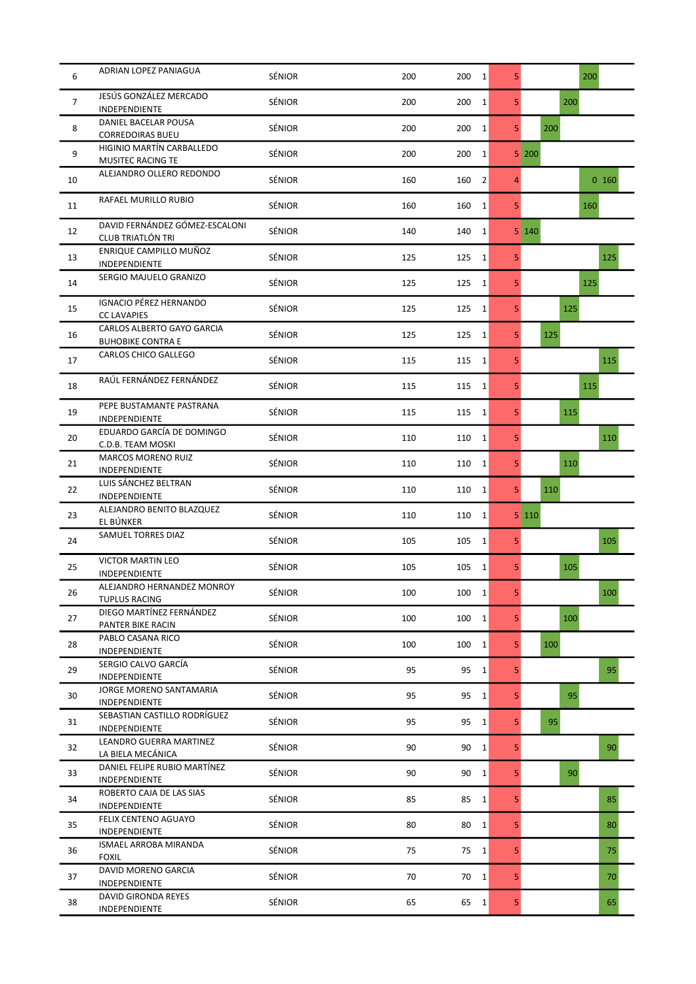| 6              | ADRIAN LOPEZ PANIAGUA                                  | SÉNIOR        | 200 | 200<br>$\mathbf{1}$   | 5 <sup>1</sup> | 200   |
|----------------|--------------------------------------------------------|---------------|-----|-----------------------|----------------|-------|
| $\overline{7}$ | JESÚS GONZÁLEZ MERCADO<br>INDEPENDIENTE                | SÉNIOR        | 200 | 200<br>$\mathbf{1}$   | 5 <sup>1</sup> | 200   |
| 8              | DANIEL BACELAR POUSA<br><b>CORREDOIRAS BUEU</b>        | SÉNIOR        | 200 | 200<br>$\mathbf{1}$   | 5 <sup>1</sup> | 200   |
| 9              | HIGINIO MARTÍN CARBALLEDO<br>MUSITEC RACING TE         | SÉNIOR        | 200 | 200<br>$\mathbf{1}$   |                | 5 200 |
| 10             | ALEJANDRO OLLERO REDONDO                               | SÉNIOR        | 160 | $\overline{2}$<br>160 | 4              | 0160  |
| 11             | RAFAEL MURILLO RUBIO                                   | SÉNIOR        | 160 | 160<br>1              | 5 <sub>l</sub> | 160   |
| 12             | DAVID FERNÁNDEZ GÓMEZ-ESCALONI<br>CLUB TRIATLÓN TRI    | SÉNIOR        | 140 | 140<br>$\mathbf{1}$   |                | 5 140 |
| 13             | ENRIQUE CAMPILLO MUÑOZ<br>INDEPENDIENTE                | SÉNIOR        | 125 | 125<br>$\mathbf{1}$   | 5 <sup>1</sup> | 125   |
| 14             | SERGIO MAJUELO GRANIZO                                 | SÉNIOR        | 125 | 125<br>$\mathbf{1}$   | 5              | 125   |
| 15             | <b>IGNACIO PÉREZ HERNANDO</b><br><b>CC LAVAPIES</b>    | SÉNIOR        | 125 | $\mathbf{1}$<br>125   | 5              | 125   |
| 16             | CARLOS ALBERTO GAYO GARCIA<br><b>BUHOBIKE CONTRA E</b> | SÉNIOR        | 125 | 125<br>$\mathbf{1}$   | 5 <sup>1</sup> | 125   |
| 17             | CARLOS CHICO GALLEGO                                   | SÉNIOR        | 115 | 115<br>$\mathbf{1}$   | 5              | 115   |
| 18             | RAÚL FERNÁNDEZ FERNÁNDEZ                               | SÉNIOR        | 115 | 115<br>1              | 5              | 115   |
| 19             | PEPE BUSTAMANTE PASTRANA<br>INDEPENDIENTE              | SÉNIOR        | 115 | 115<br>$\mathbf{1}$   | 5 <sup>1</sup> | 115   |
| 20             | EDUARDO GARCÍA DE DOMINGO<br>C.D.B. TEAM MOSKI         | SÉNIOR        | 110 | 110<br>$\mathbf{1}$   | 5              | 110   |
| 21             | <b>MARCOS MORENO RUIZ</b><br>INDEPENDIENTE             | SÉNIOR        | 110 | 110<br>1              | 5              | 110   |
| 22             | LUIS SÁNCHEZ BELTRAN<br>INDEPENDIENTE                  | SÉNIOR        | 110 | 110<br>1              | 5 <sup>1</sup> | 110   |
| 23             | ALEJANDRO BENITO BLAZQUEZ<br>EL BÚNKER                 | SÉNIOR        | 110 | $\mathbf{1}$<br>110   |                | 5 110 |
| 24             | SAMUEL TORRES DIAZ                                     | SÉNIOR        | 105 | 105<br>$\mathbf{1}$   | 5              | 105   |
| 25             | <b>VICTOR MARTIN LEO</b><br>INDEPENDIENTE              | SÉNIOR        | 105 | 105<br>$\mathbf{1}$   | 5 <sup>1</sup> | 105   |
| 26             | ALEJANDRO HERNANDEZ MONROY<br><b>TUPLUS RACING</b>     | <b>SENIOR</b> | 100 | 100<br>1              | 5              | 100   |
| 27             | DIEGO MARTÍNEZ FERNÁNDEZ<br>PANTER BIKE RACIN          | SÉNIOR        | 100 | 100<br>$\mathbf{1}$   | 5 <sup>1</sup> | 100   |
| 28             | PABLO CASANA RICO<br>INDEPENDIENTE                     | SÉNIOR        | 100 | 100<br>$1\vert$       | 5 <sup>1</sup> | 100   |
| 29             | SERGIO CALVO GARCÍA<br>INDEPENDIENTE                   | SÉNIOR        | 95  | 95<br>$\mathbf{1}$    | 5              | 95    |
| 30             | <b>JORGE MORENO SANTAMARIA</b><br>INDEPENDIENTE        | SÉNIOR        | 95  | 95<br>$\mathbf{1}$    | 5 <sup>1</sup> | 95    |
| 31             | SEBASTIAN CASTILLO RODRÍGUEZ<br>INDEPENDIENTE          | SÉNIOR        | 95  | 95<br>1               | 5              | 95    |
| 32             | LEANDRO GUERRA MARTINEZ<br>LA BIELA MECÁNICA           | SÉNIOR        | 90  | 90<br>$\mathbf{1}$    | 5 <sup>1</sup> | 90    |
| 33             | DANIEL FELIPE RUBIO MARTÍNEZ<br>INDEPENDIENTE          | SÉNIOR        | 90  | 90<br>1               | 5 <sup>1</sup> | 90    |
| 34             | ROBERTO CAJA DE LAS SIAS<br>INDEPENDIENTE              | SÉNIOR        | 85  | 85<br>$\mathbf{1}$    | 5              | 85    |
| 35             | FELIX CENTENO AGUAYO<br>INDEPENDIENTE                  | SÉNIOR        | 80  | 80<br>$\mathbf{1}$    | 5 <sup>1</sup> | 80    |
| 36             | ISMAEL ARROBA MIRANDA<br><b>FOXIL</b>                  | SÉNIOR        | 75  | 75<br>1               | 5              | 75    |
| 37             | DAVID MORENO GARCIA<br>INDEPENDIENTE                   | SÉNIOR        | 70  | $\overline{1}$<br>70  | 5              | 70    |
| 38             | DAVID GIRONDA REYES<br>INDEPENDIENTE                   | SÉNIOR        | 65  | 65<br>1               | 5              | 65    |
|                |                                                        |               |     |                       |                |       |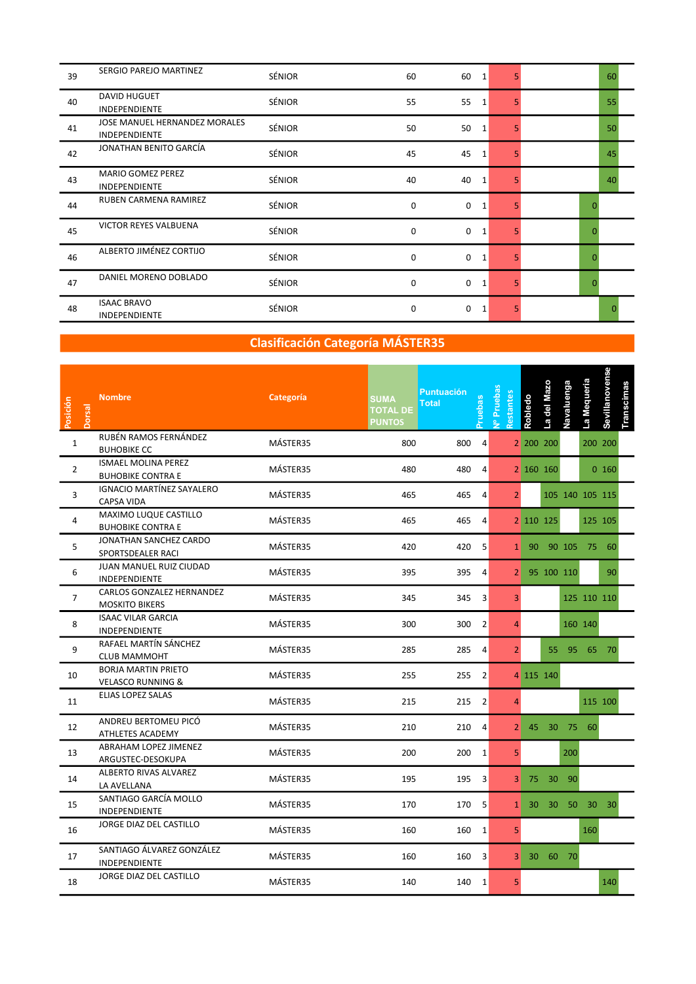| 39 | SERGIO PAREJO MARTINEZ                                       | <b>SÉNIOR</b> | 60 | 60<br>$\mathbf{1}$          | 5. |   | 60 |
|----|--------------------------------------------------------------|---------------|----|-----------------------------|----|---|----|
| 40 | <b>DAVID HUGUET</b><br><b>INDEPENDIENTE</b>                  | <b>SÉNIOR</b> | 55 | 55<br>$\mathbf{1}$          | 5. |   | 55 |
| 41 | <b>JOSE MANUEL HERNANDEZ MORALES</b><br><b>INDEPENDIENTE</b> | <b>SÉNIOR</b> | 50 | 50<br>$\mathbf{1}$          | 5. |   | 50 |
| 42 | JONATHAN BENITO GARCÍA                                       | <b>SÉNIOR</b> | 45 | 45<br>$\mathbf{1}$          | 5. |   | 45 |
| 43 | <b>MARIO GOMEZ PEREZ</b><br><b>INDEPENDIENTE</b>             | SÉNIOR        | 40 | 40<br>$\mathbf{1}$          | 5. |   | 40 |
| 44 | RUBEN CARMENA RAMIREZ                                        | <b>SÉNIOR</b> | 0  | $\mathbf 0$<br>$\mathbf{1}$ |    | C |    |
| 45 | <b>VICTOR REYES VALBUENA</b>                                 | <b>SÉNIOR</b> | 0  | 0<br>$\mathbf{1}$           | 5  | 0 |    |
| 46 | ALBERTO JIMÉNEZ CORTIJO                                      | <b>SÉNIOR</b> | 0  | 0<br>$\mathbf{1}$           | 5. | O |    |
| 47 | DANIEL MORENO DOBLADO                                        | SÉNIOR        | 0  | 0<br>$\mathbf{1}$           | 5. | 0 |    |
| 48 | <b>ISAAC BRAVO</b><br>INDEPENDIENTE                          | <b>SÉNIOR</b> | 0  | 0<br>$\mathbf{1}$           | 5. |   |    |

## Clasificación Categoría MÁSTER35

| Posición<br>Dorsal | <b>Nombre</b>                                              | Categoría | <b>SUMA</b><br><b>TOTAL DE</b><br><b>PUNTOS</b> | <b>Puntuación</b><br><b>Total</b> | ruebas                  | J <sup>o</sup> Prueba<br><b>Restante</b> | Robledo         | -a del Ma: | Navaluenga | La Mequeria     | Sevillanovense | Transcimas |  |
|--------------------|------------------------------------------------------------|-----------|-------------------------------------------------|-----------------------------------|-------------------------|------------------------------------------|-----------------|------------|------------|-----------------|----------------|------------|--|
| $\mathbf{1}$       | RUBÉN RAMOS FERNÁNDEZ<br><b>BUHOBIKE CC</b>                | MÁSTER35  | 800                                             | 800                               | 4                       |                                          |                 | 2 200 200  |            |                 | 200 200        |            |  |
| $\overline{2}$     | <b>ISMAEL MOLINA PEREZ</b><br><b>BUHOBIKE CONTRA E</b>     | MÁSTER35  | 480                                             | 480                               | 4                       |                                          |                 | 2 160 160  |            |                 | $0$ 160        |            |  |
| $\overline{3}$     | IGNACIO MARTÍNEZ SAYALERO<br><b>CAPSA VIDA</b>             | MÁSTER35  | 465                                             | 465                               | $\overline{4}$          | $\overline{2}$                           |                 |            |            | 105 140 105 115 |                |            |  |
| $\overline{4}$     | MAXIMO LUQUE CASTILLO<br><b>BUHOBIKE CONTRA E</b>          | MÁSTER35  | 465                                             | 465                               | $\overline{4}$          |                                          |                 | 2 110 125  |            |                 | 125 105        |            |  |
| 5                  | JONATHAN SANCHEZ CARDO<br>SPORTSDEALER RACI                | MÁSTER35  | 420                                             | 420                               | -5                      | $\mathbf{1}$                             |                 |            |            | 90 90 105 75 60 |                |            |  |
| 6                  | JUAN MANUEL RUIZ CIUDAD<br>INDEPENDIENTE                   | MÁSTER35  | 395                                             | 395                               | $\overline{4}$          | $\overline{2}$                           |                 | 95 100 110 |            |                 | 90             |            |  |
| $\overline{7}$     | <b>CARLOS GONZALEZ HERNANDEZ</b><br><b>MOSKITO BIKERS</b>  | MÁSTER35  | 345                                             | 345                               | $\overline{3}$          | 3 <sup>1</sup>                           |                 |            |            |                 | 125 110 110    |            |  |
| 8                  | <b>ISAAC VILAR GARCIA</b><br>INDEPENDIENTE                 | MÁSTER35  | 300                                             | 300                               | $\overline{2}$          | Δ                                        |                 |            |            | 160 140         |                |            |  |
| 9                  | RAFAEL MARTÍN SÁNCHEZ<br><b>CLUB MAMMOHT</b>               | MÁSTER35  | 285                                             | 285                               | $\overline{a}$          | 2 <sup>1</sup>                           |                 | 55         |            | 95 65 70        |                |            |  |
| 10                 | <b>BORJA MARTIN PRIETO</b><br><b>VELASCO RUNNING &amp;</b> | MÁSTER35  | 255                                             | 255 2                             |                         |                                          |                 | 4 115 140  |            |                 |                |            |  |
| 11                 | ELIAS LOPEZ SALAS                                          | MÁSTER35  | 215                                             | 215 2                             |                         |                                          |                 |            |            |                 | 115 100        |            |  |
| 12                 | ANDREU BERTOMEU PICÓ<br>ATHLETES ACADEMY                   | MÁSTER35  | 210                                             | 210 4                             |                         | 2 <sup>1</sup>                           |                 |            |            | 45 30 75 60     |                |            |  |
| 13                 | ABRAHAM LOPEZ JIMENEZ<br>ARGUSTEC-DESOKUPA                 | MÁSTER35  | 200                                             | 200 1                             |                         | 5 <sup>1</sup>                           |                 |            | 200        |                 |                |            |  |
| 14                 | ALBERTO RIVAS ALVAREZ<br>LA AVELLANA                       | MÁSTER35  | 195                                             | 195                               | 3                       | $\mathbf{3}$                             |                 | 75 30 90   |            |                 |                |            |  |
| 15                 | SANTIAGO GARCÍA MOLLO<br>INDEPENDIENTE                     | MÁSTER35  | 170                                             | 170                               | -5                      | 1 <sup>1</sup>                           | 30 <sup>°</sup> |            |            | 30 50 30        | $30^{\circ}$   |            |  |
| 16                 | JORGE DIAZ DEL CASTILLO                                    | MÁSTER35  | 160                                             | 160 1                             |                         | 5                                        |                 |            |            | 160             |                |            |  |
| 17                 | SANTIAGO ÁLVAREZ GONZÁLEZ<br>INDEPENDIENTE                 | MÁSTER35  | 160                                             | 160                               | $\overline{\mathbf{3}}$ | 3 <sup>1</sup>                           |                 | 30 60 70   |            |                 |                |            |  |
| 18                 | JORGE DIAZ DEL CASTILLO                                    | MÁSTER35  | 140                                             | 140 1                             |                         | 5.                                       |                 |            |            |                 | 140            |            |  |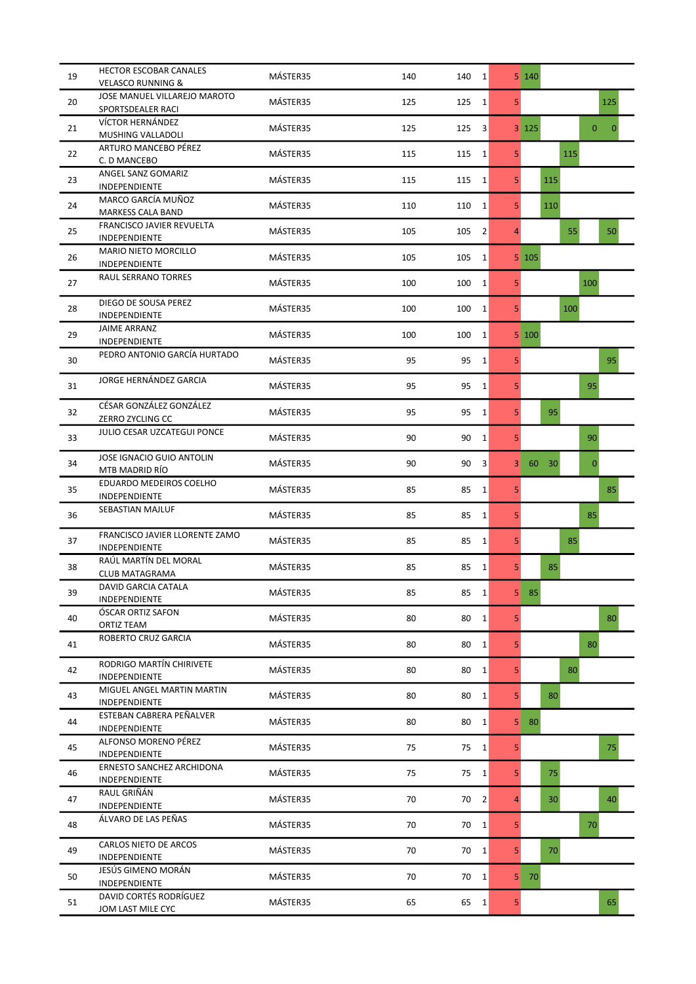| 19 | HECTOR ESCOBAR CANALES<br><b>VELASCO RUNNING &amp;</b> | MÁSTER35 | 140 | $140 \quad 1$                 |                | 5 140                                   |
|----|--------------------------------------------------------|----------|-----|-------------------------------|----------------|-----------------------------------------|
| 20 | JOSE MANUEL VILLAREJO MAROTO<br>SPORTSDEALER RACI      | MÁSTER35 | 125 | 125<br>$1\vert$               | 5              | 125                                     |
| 21 | VÍCTOR HERNÁNDEZ<br>MUSHING VALLADOLI                  | MÁSTER35 | 125 | 125<br>3                      |                | $3 \mid 125$<br>$\mathbf 0$<br>$\Omega$ |
| 22 | ARTURO MANCEBO PÉREZ<br>C. D MANCEBO                   | MÁSTER35 | 115 | 1 <br>115                     | 5 <sup>1</sup> | 115                                     |
| 23 | ANGEL SANZ GOMARIZ<br>INDEPENDIENTE                    | MÁSTER35 | 115 | 115<br>$1\vert$               | 5 <sup>1</sup> | 115                                     |
| 24 | MARCO GARCÍA MUÑOZ<br>MARKESS CALA BAND                | MÁSTER35 | 110 | 110<br>$1\vert$               | 5              | 110                                     |
| 25 | <b>FRANCISCO JAVIER REVUELTA</b><br>INDEPENDIENTE      | MÁSTER35 | 105 | 105<br>$\vert$ 2              | 4              | 55<br>50                                |
| 26 | <b>MARIO NIETO MORCILLO</b><br>INDEPENDIENTE           | MÁSTER35 | 105 | 105<br>$1\vert$               |                | 5 105                                   |
| 27 | RAUL SERRANO TORRES                                    | MÁSTER35 | 100 | 100<br>$1\vert$               | 5              | 100                                     |
| 28 | DIEGO DE SOUSA PEREZ<br>INDEPENDIENTE                  | MÁSTER35 | 100 | $1\vert$<br>100               | 5 <sup>1</sup> | 100                                     |
| 29 | <b>JAIME ARRANZ</b><br>INDEPENDIENTE                   | MÁSTER35 | 100 | 100<br>$1\vert$               |                | 5 100                                   |
| 30 | PEDRO ANTONIO GARCÍA HURTADO                           | MÁSTER35 | 95  | 95<br>$1\vert$                | 5              | 95                                      |
| 31 | JORGE HERNÁNDEZ GARCIA                                 | MÁSTER35 | 95  | 95<br>$1\vert$                | 5              | 95                                      |
| 32 | CÉSAR GONZÁLEZ GONZÁLEZ<br>ZERRO ZYCLING CC            | MÁSTER35 | 95  | 95<br>$1\vert$                | 5 <sup>1</sup> | 95                                      |
| 33 | JULIO CESAR UZCATEGUI PONCE                            | MÁSTER35 | 90  | 90<br>$\mathbf{1}$            | 5              | 90                                      |
| 34 | JOSE IGNACIO GUIO ANTOLIN<br>MTB MADRID RÍO            | MÁSTER35 | 90  | 90<br>$\overline{\mathbf{3}}$ | 3              | 60<br>30<br>$\mathbf{0}$                |
| 35 | EDUARDO MEDEIROS COELHO<br>INDEPENDIENTE               | MÁSTER35 | 85  | 85<br>$1\vert$                | 5              | 85                                      |
| 36 | SEBASTIAN MAJLUF                                       | MÁSTER35 | 85  | $1\vert$<br>85                | 5              | 85                                      |
| 37 | FRANCISCO JAVIER LLORENTE ZAMO<br>INDEPENDIENTE        | MÁSTER35 | 85  | 85<br>$1\vert$                | 5              | 85                                      |
| 38 | RAÚL MARTÍN DEL MORAL<br><b>CLUB MATAGRAMA</b>         | MÁSTER35 | 85  | 85<br>$1\vert$                | 5 <sup>1</sup> | 85                                      |
| 39 | DAVID GARCIA CATALA<br><b>INDEPENDIENTE</b>            | MASTER35 | 85  | 85<br> 1                      | 5              | 85                                      |
| 40 | ÓSCAR ORTIZ SAFON<br>ORTIZ TEAM                        | MÁSTER35 | 80  | 80<br>$1\vert$                | 5              | 80                                      |
| 41 | ROBERTO CRUZ GARCIA                                    | MÁSTER35 | 80  | 80<br>$1\vert$                | 5              | 80                                      |
| 42 | RODRIGO MARTÍN CHIRIVETE<br>INDEPENDIENTE              | MÁSTER35 | 80  | 80<br>$1\vert$                | 5              | 80                                      |
| 43 | MIGUEL ANGEL MARTIN MARTIN<br>INDEPENDIENTE            | MÁSTER35 | 80  | 80<br>$1\vert$                | 5 <sup>1</sup> | 80                                      |
| 44 | ESTEBAN CABRERA PEÑALVER<br>INDEPENDIENTE              | MÁSTER35 | 80  | 80<br>$1\vert$                | 5              | -80                                     |
| 45 | ALFONSO MORENO PÉREZ<br>INDEPENDIENTE                  | MÁSTER35 | 75  | 75<br>$1\vert$                | 5              | 75                                      |
| 46 | ERNESTO SANCHEZ ARCHIDONA<br>INDEPENDIENTE             | MÁSTER35 | 75  | 75<br>$1\vert$                | 5 <sup>1</sup> | 75                                      |
| 47 | RAUL GRIÑÁN<br>INDEPENDIENTE                           | MÁSTER35 | 70  | $70 \quad 2$                  | 4              | 30<br>40                                |
| 48 | ÁLVARO DE LAS PEÑAS                                    | MÁSTER35 | 70  | $70 \quad 1$                  | 5              | 70                                      |
| 49 | <b>CARLOS NIETO DE ARCOS</b><br>INDEPENDIENTE          | MÁSTER35 | 70  | $70 \quad 1$                  | 5 <sup>1</sup> | 70                                      |
| 50 | JESÚS GIMENO MORÁN<br>INDEPENDIENTE                    | MÁSTER35 | 70  | $70 \quad 1$                  | 5              | -70                                     |
| 51 | DAVID CORTÉS RODRÍGUEZ<br>JOM LAST MILE CYC            | MÁSTER35 | 65  | 65<br> 1                      | 5 <sub>l</sub> | 65                                      |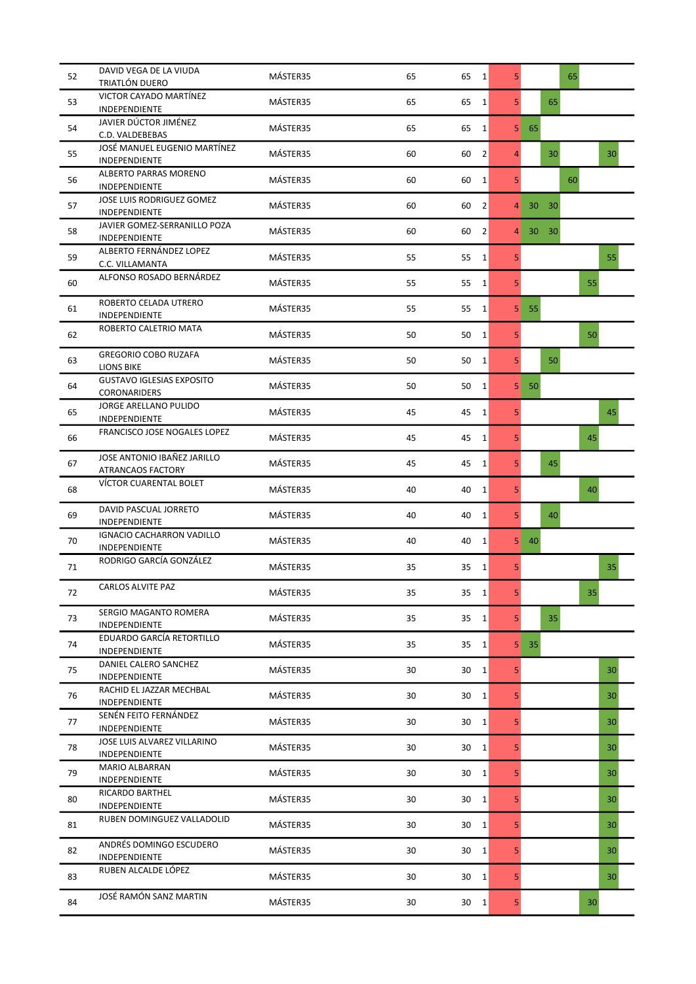| 52 | DAVID VEGA DE LA VIUDA<br>TRIATLÓN DUERO          | MÁSTER35 | 65 | $65 \quad 1$         | 5 <sup>1</sup> | 65                    |
|----|---------------------------------------------------|----------|----|----------------------|----------------|-----------------------|
| 53 | VICTOR CAYADO MARTÍNEZ<br>INDEPENDIENTE           | MÁSTER35 | 65 | 65<br>$\mathbf{1}$   | 5              | 65                    |
| 54 | JAVIER DÚCTOR JIMÉNEZ<br>C.D. VALDEBEBAS          | MÁSTER35 | 65 | 65<br>$\mathbf{1}$   | 5              | 65                    |
| 55 | JOSÉ MANUEL EUGENIO MARTÍNEZ<br>INDEPENDIENTE     | MÁSTER35 | 60 | $\overline{2}$<br>60 | 4              | 30<br>30 <sup>°</sup> |
| 56 | ALBERTO PARRAS MORENO<br>INDEPENDIENTE            | MÁSTER35 | 60 | 60<br>$\mathbf{1}$   | 5              | 60                    |
| 57 | JOSE LUIS RODRIGUEZ GOMEZ<br>INDEPENDIENTE        | MÁSTER35 | 60 | 60<br>2              | 4              | 30<br>30              |
| 58 | JAVIER GOMEZ-SERRANILLO POZA<br>INDEPENDIENTE     | MÁSTER35 | 60 | 60<br>$\vert$ 2      | 4              | 30<br>30              |
| 59 | ALBERTO FERNÁNDEZ LOPEZ<br>C.C. VILLAMANTA        | MÁSTER35 | 55 | 55<br>$\mathbf{1}$   | 5              | 55                    |
| 60 | ALFONSO ROSADO BERNÁRDEZ                          | MÁSTER35 | 55 | 55<br>$\mathbf{1}$   | 5              | 55                    |
| 61 | ROBERTO CELADA UTRERO<br>INDEPENDIENTE            | MÁSTER35 | 55 | 55<br>1              | 5              | 55                    |
| 62 | ROBERTO CALETRIO MATA                             | MÁSTER35 | 50 | 50<br>$\mathbf{1}$   | 5              | 50                    |
| 63 | <b>GREGORIO COBO RUZAFA</b><br><b>LIONS BIKE</b>  | MÁSTER35 | 50 | 50<br>$1\vert$       | 5              | 50                    |
| 64 | <b>GUSTAVO IGLESIAS EXPOSITO</b><br>CORONARIDERS  | MÁSTER35 | 50 | 50<br>$\mathbf{1}$   | 5              | 50                    |
| 65 | JORGE ARELLANO PULIDO<br>INDEPENDIENTE            | MÁSTER35 | 45 | 45<br>$1\vert$       | 5              | 45                    |
| 66 | FRANCISCO JOSE NOGALES LOPEZ                      | MÁSTER35 | 45 | 45<br>$\mathbf{1}$   | 5              | 45                    |
| 67 | JOSE ANTONIO IBAÑEZ JARILLO<br>ATRANCAOS FACTORY  | MÁSTER35 | 45 | 45<br>$\mathbf{1}$   | 5              | 45                    |
| 68 | VÍCTOR CUARENTAL BOLET                            | MÁSTER35 | 40 | 40<br>$1\vert$       | 5              | 40                    |
| 69 | DAVID PASCUAL JORRETO<br>INDEPENDIENTE            | MÁSTER35 | 40 | $\mathbf{1}$<br>40   | 5              | 40                    |
| 70 | <b>IGNACIO CACHARRON VADILLO</b><br>INDEPENDIENTE | MÁSTER35 | 40 | 40<br>$\mathbf{1}$   | 5              | 40                    |
| 71 | RODRIGO GARCÍA GONZÁLEZ                           | MÁSTER35 | 35 | 35<br> 1             | 5 <sup>1</sup> | 35                    |
| 72 | CARLOS ALVITE PAZ                                 | MASTER35 | 35 | 35<br>1              | 5              | 35                    |
| 73 | SERGIO MAGANTO ROMERA<br>INDEPENDIENTE            | MÁSTER35 | 35 | 35<br>$\mathbf{1}$   | 5              | 35                    |
| 74 | EDUARDO GARCÍA RETORTILLO<br>INDEPENDIENTE        | MÁSTER35 | 35 | 35<br>$1\vert$       | 5              | 35                    |
| 75 | DANIEL CALERO SANCHEZ<br>INDEPENDIENTE            | MÁSTER35 | 30 | 30<br>$\mathbf{1}$   | 5              | 30                    |
| 76 | RACHID EL JAZZAR MECHBAL<br>INDEPENDIENTE         | MÁSTER35 | 30 | $\mathbf{1}$<br>30   | 5              | 30                    |
| 77 | SENÉN FEITO FERNÁNDEZ<br>INDEPENDIENTE            | MÁSTER35 | 30 | 30<br>$\mathbf{1}$   | 5              | 30                    |
| 78 | JOSE LUIS ALVAREZ VILLARINO<br>INDEPENDIENTE      | MÁSTER35 | 30 | 30<br>$\mathbf{1}$   | 5              | 30                    |
| 79 | <b>MARIO ALBARRAN</b><br>INDEPENDIENTE            | MÁSTER35 | 30 | 30<br> 1             | 5              | 30                    |
| 80 | RICARDO BARTHEL<br>INDEPENDIENTE                  | MÁSTER35 | 30 | 30<br>$\mathbf{1}$   | 5              | 30                    |
| 81 | RUBEN DOMINGUEZ VALLADOLID                        | MÁSTER35 | 30 | 30<br>$\mathbf{1}$   | 5              | 30                    |
| 82 | ANDRÉS DOMINGO ESCUDERO<br>INDEPENDIENTE          | MÁSTER35 | 30 | 30<br>$1\vert$       | 5              | 30                    |
| 83 | RUBEN ALCALDE LÓPEZ                               | MÁSTER35 | 30 | 30<br>1              | 5              | 30                    |
| 84 | JOSÉ RAMÓN SANZ MARTIN                            | MÁSTER35 | 30 | 30<br>1              | 5              | 30                    |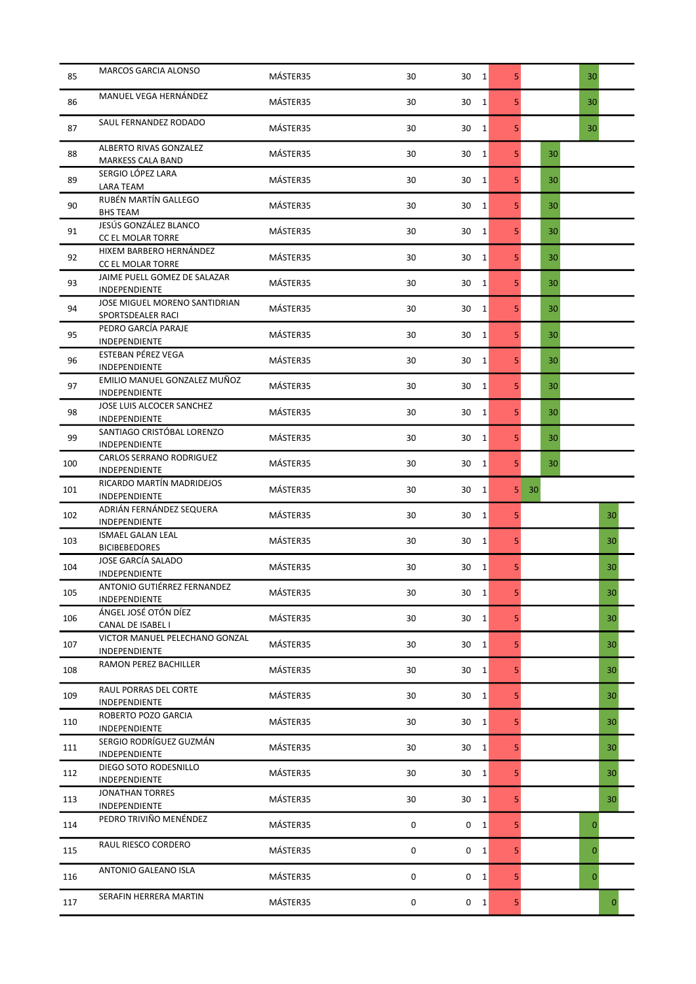| 85  | <b>MARCOS GARCIA ALONSO</b>                                       | MÁSTER35 | 30 | 30 1               | 5              |    | 30           |
|-----|-------------------------------------------------------------------|----------|----|--------------------|----------------|----|--------------|
| 86  | MANUEL VEGA HERNÁNDEZ                                             | MÁSTER35 | 30 | 30<br>1            | 5              |    | 30           |
| 87  | SAUL FERNANDEZ RODADO                                             | MÁSTER35 | 30 | 30<br>1            | 5              |    | 30           |
| 88  | ALBERTO RIVAS GONZALEZ<br><b>MARKESS CALA BAND</b>                | MÁSTER35 | 30 | 30<br>1            | 5 <sup>1</sup> | 30 |              |
| 89  | SERGIO LÓPEZ LARA<br>LARA TEAM                                    | MÁSTER35 | 30 | 30<br>$\mathbf{1}$ | 5 <sup>1</sup> | 30 |              |
| 90  | RUBÉN MARTÍN GALLEGO<br>BHS TEAM                                  | MÁSTER35 | 30 | 30<br>1            | 5 <sup>1</sup> | 30 |              |
| 91  | JESÚS GONZÁLEZ BLANCO<br>CC EL MOLAR TORRE                        | MÁSTER35 | 30 | 30<br>1            | 5              | 30 |              |
| 92  | HIXEM BARBERO HERNÁNDEZ<br>CC EL MOLAR TORRE                      | MÁSTER35 | 30 | 30<br>1            | 5              | 30 |              |
| 93  | JAIME PUELL GOMEZ DE SALAZAR<br>INDEPENDIENTE                     | MÁSTER35 | 30 | 30<br>1            | 5 <sup>1</sup> | 30 |              |
| 94  | JOSE MIGUEL MORENO SANTIDRIAN<br>SPORTSDEALER RACI                | MÁSTER35 | 30 | 30<br>1            | 5              | 30 |              |
| 95  | PEDRO GARCÍA PARAJE<br><b>INDEPENDIENTE</b>                       | MÁSTER35 | 30 | 30<br>1            | 5 <sup>1</sup> | 30 |              |
| 96  | ESTEBAN PÉREZ VEGA<br>INDEPENDIENTE                               | MÁSTER35 | 30 | 30<br>$\mathbf{1}$ | 5.             | 30 |              |
| 97  | EMILIO MANUEL GONZALEZ MUÑOZ<br>INDEPENDIENTE                     | MÁSTER35 | 30 | 30<br>1            | 5              | 30 |              |
| 98  | JOSE LUIS ALCOCER SANCHEZ<br>INDEPENDIENTE                        | MÁSTER35 | 30 | 30<br>1            | 5 <sup>1</sup> | 30 |              |
| 99  | SANTIAGO CRISTÓBAL LORENZO<br>INDEPENDIENTE                       | MÁSTER35 | 30 | 30<br>1            | 5              | 30 |              |
| 100 | CARLOS SERRANO RODRIGUEZ<br>INDEPENDIENTE                         | MÁSTER35 | 30 | 30<br>1            | 5.             | 30 |              |
| 101 | RICARDO MARTÍN MADRIDEJOS                                         | MÁSTER35 | 30 | 30<br>1            | 5 <sup>1</sup> | 30 |              |
| 102 | INDEPENDIENTE<br>ADRIÁN FERNÁNDEZ SEQUERA                         | MÁSTER35 | 30 | 30<br>1            | 5              |    | 30           |
| 103 | INDEPENDIENTE<br><b>ISMAEL GALAN LEAL</b><br><b>BICIBEBEDORES</b> | MÁSTER35 | 30 | 30<br>1            | 5              |    | 30           |
| 104 | JOSE GARCÍA SALADO                                                | MÁSTER35 | 30 | 30<br>1            | 5 <sup>1</sup> |    | 30           |
| 105 | INDEPENDIENTE<br><b>ANTONIO GUTIÉRREZ FERNANDEZ</b>               | MASTER35 | 30 | 30<br>$\mathbf{1}$ | 5 <sup>1</sup> |    | 30           |
| 106 | INDEPENDIENTE<br>ÁNGEL JOSÉ OTÓN DÍEZ                             | MÁSTER35 | 30 | 30<br>1            | 5 <sup>1</sup> |    | 30           |
| 107 | CANAL DE ISABEL I<br>VICTOR MANUEL PELECHANO GONZAL               | MÁSTER35 | 30 | 30<br>$\vert$ 1    | 5 <sup>1</sup> |    | 30           |
| 108 | INDEPENDIENTE<br>RAMON PEREZ BACHILLER                            | MÁSTER35 | 30 | 30<br>1            | 5              |    | 30           |
| 109 | RAUL PORRAS DEL CORTE                                             | MÁSTER35 | 30 | 30<br>1            | 5              |    | 30           |
| 110 | INDEPENDIENTE<br>ROBERTO POZO GARCIA                              | MÁSTER35 | 30 | 30 1               | 5              |    | 30           |
| 111 | INDEPENDIENTE<br>SERGIO RODRÍGUEZ GUZMÁN                          | MÁSTER35 | 30 | 30<br>$\mathbf{1}$ | 5 <sup>1</sup> |    | 30           |
| 112 | INDEPENDIENTE<br>DIEGO SOTO RODESNILLO                            | MÁSTER35 | 30 | 30<br>1            | 5 <sup>1</sup> |    | 30           |
| 113 | INDEPENDIENTE<br><b>JONATHAN TORRES</b>                           | MÁSTER35 | 30 | 30 1               | 5              |    | 30           |
| 114 | INDEPENDIENTE<br>PEDRO TRIVIÑO MENÉNDEZ                           | MÁSTER35 | 0  | 0<br>$\vert$ 1     | 5 <sup>1</sup> |    | $\mathbf{0}$ |
| 115 | RAUL RIESCO CORDERO                                               | MÁSTER35 | 0  | 0 <sub>1</sub>     | 5 <sup>1</sup> |    | 0            |
| 116 | ANTONIO GALEANO ISLA                                              | MÁSTER35 | 0  | $0\quad 1$         | 5              |    | 0            |
| 117 | SERAFIN HERRERA MARTIN                                            | MÁSTER35 | 0  | $0 \quad 1$        | 5              |    | $\mathbf{0}$ |
|     |                                                                   |          |    |                    |                |    |              |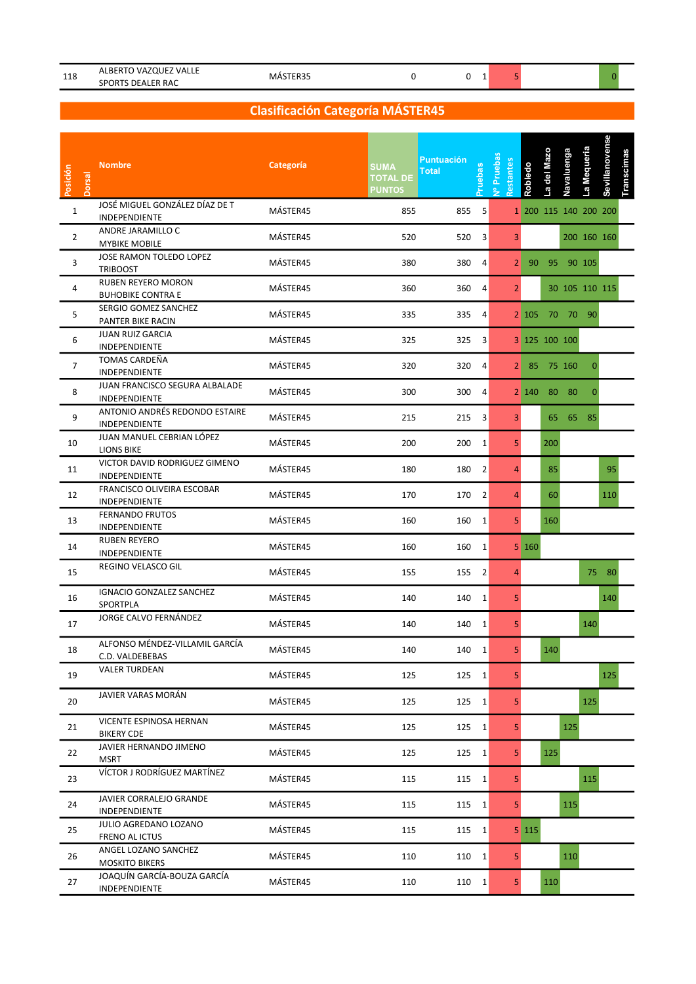| 118 | `VAZQUEz<br>' VALLE<br>ALBERTU 1   | IVIA.     |  |  |  |  |
|-----|------------------------------------|-----------|--|--|--|--|
|     | <b>DEALER RAC</b><br><b>SPORTS</b> | $"$ NEK5. |  |  |  |  |

### Clasificación Categoría MÁSTER45

| Posición<br><b>Dorsal</b> | <b>Nombre</b>                                         | Categoría | <b>SUMA</b><br><b>TOTAL DE</b><br><b>PUNTOS</b> | <b>Puntuación</b><br><b>Total</b> | ruebas         | Vº Prueba<br>stantes | Robledo | del Mazo<br>ما | Navaluenga | La Mequeria           | Sevillanovense<br>Transcimas |  |
|---------------------------|-------------------------------------------------------|-----------|-------------------------------------------------|-----------------------------------|----------------|----------------------|---------|----------------|------------|-----------------------|------------------------------|--|
| $\mathbf{1}$              | JOSÉ MIGUEL GONZÁLEZ DÍAZ DE T<br>INDEPENDIENTE       | MÁSTER45  | 855                                             | 855                               | 5              |                      |         |                |            | 1 200 115 140 200 200 |                              |  |
| $\overline{2}$            | ANDRE JARAMILLO C<br><b>MYBIKE MOBILE</b>             | MÁSTER45  | 520                                             | 520 3                             |                | 3                    |         |                |            | 200 160 160           |                              |  |
| 3                         | JOSE RAMON TOLEDO LOPEZ<br><b>TRIBOOST</b>            | MÁSTER45  | 380                                             | 380                               | 4              |                      |         |                |            | 2 90 95 90 105        |                              |  |
| 4                         | <b>RUBEN REYERO MORON</b><br><b>BUHOBIKE CONTRA E</b> | MÁSTER45  | 360                                             | 360                               | 4              | 2 <sup>1</sup>       |         |                |            | 30 105 110 115        |                              |  |
| 5                         | SERGIO GOMEZ SANCHEZ<br>PANTER BIKE RACIN             | MÁSTER45  | 335                                             | 335                               | 4              |                      |         |                |            | 2 105 70 70 90        |                              |  |
| 6                         | <b>JUAN RUIZ GARCIA</b><br>INDEPENDIENTE              | MÁSTER45  | 325                                             | 325 3                             |                |                      |         | 3 125 100 100  |            |                       |                              |  |
| $\overline{7}$            | TOMAS CARDEÑA<br>INDEPENDIENTE                        | MÁSTER45  | 320                                             | 320                               | $\overline{4}$ |                      |         | 2 85 75 160    |            | 0                     |                              |  |
| 8                         | JUAN FRANCISCO SEGURA ALBALADE<br>INDEPENDIENTE       | MÁSTER45  | 300                                             | 300                               | 4              |                      |         | 2 140 80 80    |            | 0                     |                              |  |
| 9                         | ANTONIO ANDRÉS REDONDO ESTAIRE<br>INDEPENDIENTE       | MÁSTER45  | 215                                             | $215 - 3$                         |                | 3 <sup>1</sup>       |         |                |            | 65 65 85              |                              |  |
| 10                        | JUAN MANUEL CEBRIAN LÓPEZ<br>LIONS BIKE               | MÁSTER45  | 200                                             | 200 1                             |                | 5 <sup>1</sup>       |         | 200            |            |                       |                              |  |
| 11                        | VICTOR DAVID RODRIGUEZ GIMENO<br>INDEPENDIENTE        | MÁSTER45  | 180                                             | 180                               | $\overline{2}$ |                      |         | 85             |            |                       | 95                           |  |
| 12                        | FRANCISCO OLIVEIRA ESCOBAR<br>INDEPENDIENTE           | MÁSTER45  | 170                                             | 170                               | $\overline{2}$ | 4                    |         | 60             |            |                       | <b>110</b>                   |  |
| 13                        | <b>FERNANDO FRUTOS</b><br>INDEPENDIENTE               | MÁSTER45  | 160                                             | 160                               | 1              | 5 <sup>1</sup>       |         | 160            |            |                       |                              |  |
| 14                        | <b>RUBEN REYERO</b><br>INDEPENDIENTE                  | MÁSTER45  | 160                                             | 160 1                             |                |                      | 5 160   |                |            |                       |                              |  |
| 15                        | REGINO VELASCO GIL                                    | MÁSTER45  | 155                                             | 155 2                             |                |                      |         |                |            |                       | 75 80                        |  |
| 16                        | IGNACIO GONZALEZ SANCHEZ<br>SPORTPLA                  | MÁSTER45  | 140                                             | 140 1                             |                | 5 <sup>1</sup>       |         |                |            |                       | 140                          |  |
| 17                        | JORGE CALVO FERNÁNDEZ                                 | MÁSTER45  | 140                                             | 140                               | 1              | 5 <sup>1</sup>       |         |                |            | 140                   |                              |  |
| 18                        | ALFONSO MÉNDEZ-VILLAMIL GARCÍA<br>C.D. VALDEBEBAS     | MÁSTER45  | 140                                             | 140 1                             |                | 5.                   |         | 140            |            |                       |                              |  |
| 19                        | <b>VALER TURDEAN</b>                                  | MÁSTER45  | 125                                             | 125 1                             |                | 5 <sub>1</sub>       |         |                |            |                       | 125                          |  |
| 20                        | JAVIER VARAS MORÁN                                    | MÁSTER45  | 125                                             | 125 1                             |                | 5 <sup>1</sup>       |         |                |            | 125                   |                              |  |
| 21                        | VICENTE ESPINOSA HERNAN<br><b>BIKERY CDE</b>          | MÁSTER45  | 125                                             | 125 1                             |                | 5                    |         |                | 125        |                       |                              |  |
| 22                        | JAVIER HERNANDO JIMENO<br><b>MSRT</b>                 | MÁSTER45  | 125                                             | 125 1                             |                | 5 <sub>1</sub>       |         | 125            |            |                       |                              |  |
| 23                        | VÍCTOR J RODRÍGUEZ MARTÍNEZ                           | MÁSTER45  | 115                                             | 115 1                             |                | 5 <sup>1</sup>       |         |                |            | 115                   |                              |  |
| 24                        | JAVIER CORRALEJO GRANDE<br>INDEPENDIENTE              | MÁSTER45  | 115                                             | 115 1                             |                | 5 <sup>1</sup>       |         |                | 115        |                       |                              |  |
| 25                        | JULIO AGREDANO LOZANO<br>FRENO AL ICTUS               | MÁSTER45  | 115                                             | 115 1                             |                |                      | 5 115   |                |            |                       |                              |  |
| 26                        | ANGEL LOZANO SANCHEZ<br><b>MOSKITO BIKERS</b>         | MÁSTER45  | 110                                             | 110 1                             |                | 5 <sup>1</sup>       |         |                | 110        |                       |                              |  |
| 27                        | JOAQUÍN GARCÍA-BOUZA GARCÍA<br>INDEPENDIENTE          | MÁSTER45  | 110                                             | 110 1                             |                | 5 <sup>1</sup>       |         | 110            |            |                       |                              |  |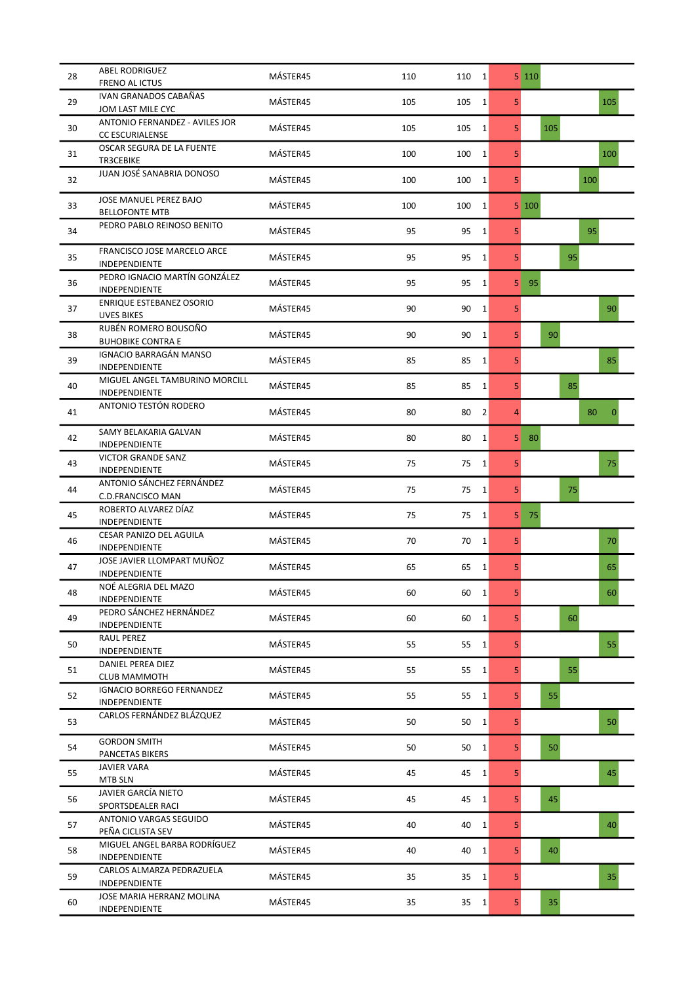| 28 | <b>ABEL RODRIGUEZ</b><br><b>FRENO AL ICTUS</b>           | MÁSTER45 | 110 | 110 1                | 5 110                                |
|----|----------------------------------------------------------|----------|-----|----------------------|--------------------------------------|
| 29 | IVAN GRANADOS CABAÑAS<br>JOM LAST MILE CYC               | MÁSTER45 | 105 | 105<br>1             | 105<br>5 <sup>1</sup>                |
| 30 | ANTONIO FERNANDEZ - AVILES JOR<br><b>CC ESCURIALENSE</b> | MÁSTER45 | 105 | 105<br>1             | 5<br>105                             |
| 31 | OSCAR SEGURA DE LA FUENTE<br>TR3CEBIKE                   | MÁSTER45 | 100 | 100<br>1             | 5<br>100                             |
| 32 | JUAN JOSÉ SANABRIA DONOSO                                | MÁSTER45 | 100 | 100<br>1             | 5 <sup>1</sup><br>100                |
| 33 | JOSE MANUEL PEREZ BAJO<br><b>BELLOFONTE MTB</b>          | MÁSTER45 | 100 | 100<br>$\mathbf{1}$  | 5 100                                |
| 34 | PEDRO PABLO REINOSO BENITO                               | MÁSTER45 | 95  | 95<br>1              | 95<br>5                              |
| 35 | FRANCISCO JOSE MARCELO ARCE<br>INDEPENDIENTE             | MÁSTER45 | 95  | 95<br>1              | 5 <sup>1</sup><br>95                 |
| 36 | PEDRO IGNACIO MARTÍN GONZÁLEZ<br>INDEPENDIENTE           | MÁSTER45 | 95  | 95<br>1              | 5<br>95                              |
| 37 | ENRIQUE ESTEBANEZ OSORIO<br><b>UVES BIKES</b>            | MÁSTER45 | 90  | 90<br>1              | 5<br>90                              |
| 38 | RUBÉN ROMERO BOUSOÑO<br><b>BUHOBIKE CONTRA E</b>         | MÁSTER45 | 90  | 90<br>1              | 5 <sup>1</sup><br>90                 |
| 39 | IGNACIO BARRAGÁN MANSO<br>INDEPENDIENTE                  | MÁSTER45 | 85  | 85<br>1              | 5<br>85                              |
| 40 | MIGUEL ANGEL TAMBURINO MORCILL<br>INDEPENDIENTE          | MÁSTER45 | 85  | 85<br>$\mathbf{1}$   | 5<br>85                              |
| 41 | ANTONIO TESTÓN RODERO                                    | MÁSTER45 | 80  | 80<br>$\overline{2}$ | $\overline{4}$<br>80<br>$\mathbf{0}$ |
| 42 | SAMY BELAKARIA GALVAN<br>INDEPENDIENTE                   | MÁSTER45 | 80  | 80<br>$\mathbf{1}$   | 5<br>80                              |
| 43 | <b>VICTOR GRANDE SANZ</b><br>INDEPENDIENTE               | MÁSTER45 | 75  | 75<br>$\mathbf{1}$   | 5<br>75                              |
| 44 | ANTONIO SÁNCHEZ FERNÁNDEZ<br>C.D.FRANCISCO MAN           | MÁSTER45 | 75  | 75<br>1              | 5 <sup>1</sup><br>75                 |
| 45 | ROBERTO ALVAREZ DÍAZ<br>INDEPENDIENTE                    | MÁSTER45 | 75  | 75<br>1              | 5<br>75                              |
| 46 | CESAR PANIZO DEL AGUILA<br>INDEPENDIENTE                 | MÁSTER45 | 70  | 70<br>1'             | 5<br>70                              |
| 47 | JOSE JAVIER LLOMPART MUÑOZ<br>INDEPENDIENTE              | MÁSTER45 | 65  | 65<br>1              | 5 <sup>1</sup><br>65                 |
| 48 | NOÉ ALEGRIA DEL MAZO<br>INDEPENDIENTE                    | MÁSTER45 | 60  | 60<br>1              | 5 <sup>1</sup><br>60                 |
| 49 | PEDRO SÁNCHEZ HERNÁNDEZ<br>INDEPENDIENTE                 | MÁSTER45 | 60  | 60<br>1              | 5 <sup>1</sup><br>60                 |
| 50 | RAUL PEREZ<br>INDEPENDIENTE                              | MÁSTER45 | 55  | 55 1                 | 55<br>5                              |
| 51 | DANIEL PEREA DIEZ<br><b>CLUB MAMMOTH</b>                 | MÁSTER45 | 55  | 55<br>$\overline{1}$ | 55<br>5 <sup>1</sup>                 |
| 52 | <b>IGNACIO BORREGO FERNANDEZ</b><br>INDEPENDIENTE        | MÁSTER45 | 55  | 55<br>1              | 55<br>5 <sup>1</sup>                 |
| 53 | CARLOS FERNÁNDEZ BLÁZQUEZ                                | MÁSTER45 | 50  | 50<br>1              | 5<br>50                              |
| 54 | <b>GORDON SMITH</b><br>PANCETAS BIKERS                   | MÁSTER45 | 50  | 50<br>1              | 5 <sup>1</sup><br>50                 |
| 55 | <b>JAVIER VARA</b><br>MTB SLN                            | MÁSTER45 | 45  | 45<br>$\mathbf{1}$   | 5 <sup>1</sup><br>45                 |
| 56 | JAVIER GARCÍA NIETO<br>SPORTSDEALER RACI                 | MÁSTER45 | 45  | 45<br>$\mathbf{1}$   | 45<br>5                              |
| 57 | ANTONIO VARGAS SEGUIDO<br>PEÑA CICLISTA SEV              | MÁSTER45 | 40  | 40<br>$\mathbf{1}$   | 5 <sup>1</sup><br>40                 |
| 58 | MIGUEL ANGEL BARBA RODRÍGUEZ<br>INDEPENDIENTE            | MÁSTER45 | 40  | 40<br>$\mathbf{1}$   | 5<br>40                              |
| 59 | CARLOS ALMARZA PEDRAZUELA<br>INDEPENDIENTE               | MÁSTER45 | 35  | 35 1                 | 5<br>35                              |
| 60 | JOSE MARIA HERRANZ MOLINA<br>INDEPENDIENTE               | MÁSTER45 | 35  | 35<br>$\vert$ 1      | 5 <sub>l</sub><br>35                 |
|    |                                                          |          |     |                      |                                      |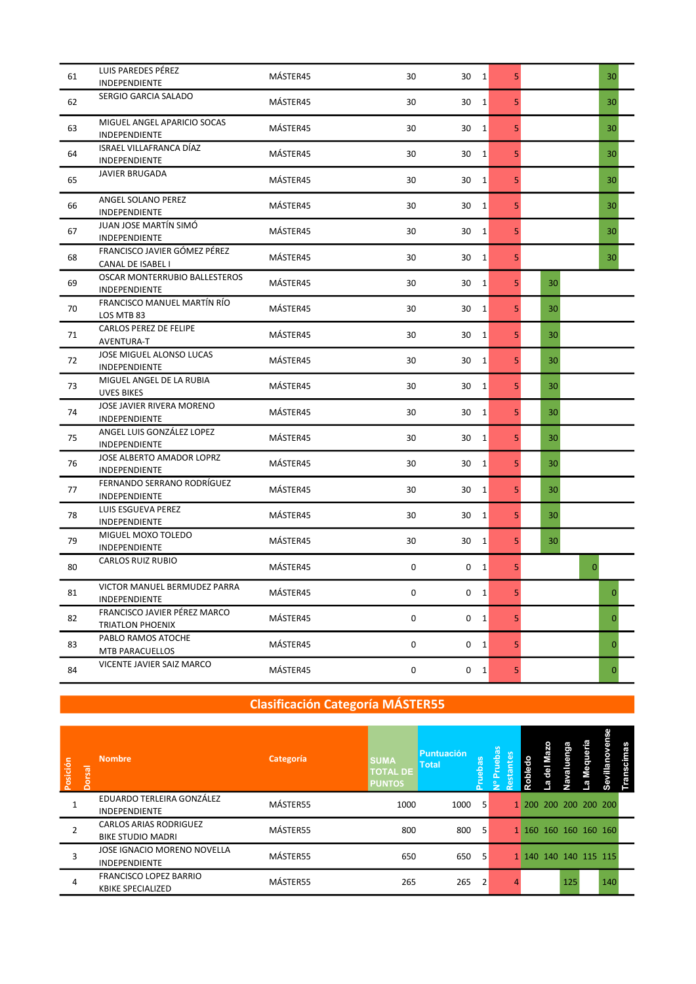| 61 | LUIS PAREDES PÉREZ                          | MÁSTER45 | 30          | 30<br>$\vert$ 1    | 5              |    | 30           |
|----|---------------------------------------------|----------|-------------|--------------------|----------------|----|--------------|
|    | <b>INDEPENDIENTE</b>                        |          |             |                    |                |    |              |
| 62 | SERGIO GARCIA SALADO                        | MÁSTER45 | 30          | $1\vert$<br>30     | 5              |    | 30           |
|    |                                             |          |             |                    |                |    |              |
| 63 | MIGUEL ANGEL APARICIO SOCAS                 | MÁSTER45 | 30          | 30<br>1            | 5              |    | 30           |
|    | INDEPENDIENTE                               |          |             |                    |                |    |              |
| 64 | ISRAEL VILLAFRANCA DÍAZ                     | MÁSTER45 | 30          | $\mathbf{1}$<br>30 | 5              |    | 30           |
|    | INDEPENDIENTE                               |          |             |                    |                |    |              |
| 65 | <b>JAVIER BRUGADA</b>                       | MÁSTER45 | 30          | 30<br>$\mathbf{1}$ | 5              |    | 30           |
|    |                                             |          |             |                    |                |    |              |
| 66 | ANGEL SOLANO PEREZ<br><b>INDEPENDIENTE</b>  | MÁSTER45 | 30          | 30<br>$1\vert$     | 5              |    | 30           |
|    |                                             |          |             |                    |                |    |              |
| 67 | JUAN JOSE MARTÍN SIMÓ                       | MÁSTER45 | 30          | 30<br>1            | 5              |    | 30           |
|    | <b>INDEPENDIENTE</b>                        |          |             |                    |                |    |              |
| 68 | FRANCISCO JAVIER GÓMEZ PÉREZ                | MÁSTER45 | 30          | 30<br>$\mathbf{1}$ | 5              |    | 30           |
|    | CANAL DE ISABEL I                           |          |             |                    |                |    |              |
| 69 | OSCAR MONTERRUBIO BALLESTEROS               | MÁSTER45 | 30          | 30<br>$1\vert$     | 5              | 30 |              |
|    | INDEPENDIENTE                               |          |             |                    |                |    |              |
| 70 | FRANCISCO MANUEL MARTÍN RÍO                 | MÁSTER45 | 30          | 30<br>$\mathbf{1}$ | 5              | 30 |              |
|    | LOS MTB 83<br><b>CARLOS PEREZ DE FELIPE</b> |          |             |                    |                |    |              |
| 71 | AVENTURA-T                                  | MÁSTER45 | 30          | 30<br>$1\vert$     | 5 <sup>1</sup> | 30 |              |
|    | <b>JOSE MIGUEL ALONSO LUCAS</b>             |          |             |                    |                |    |              |
| 72 | INDEPENDIENTE                               | MÁSTER45 | 30          | $\mathbf{1}$<br>30 | 5              | 30 |              |
|    | MIGUEL ANGEL DE LA RUBIA                    |          |             |                    |                |    |              |
| 73 | <b>UVES BIKES</b>                           | MÁSTER45 | 30          | 30<br>$\mathbf{1}$ | 5.             | 30 |              |
|    | JOSE JAVIER RIVERA MORENO                   |          |             |                    |                |    |              |
| 74 | INDEPENDIENTE                               | MÁSTER45 | 30          | 30<br>$1\vert$     | 5 <sup>1</sup> | 30 |              |
|    | ANGEL LUIS GONZÁLEZ LOPEZ                   |          |             |                    |                |    |              |
| 75 | INDEPENDIENTE                               | MÁSTER45 | 30          | 30<br>$\mathbf{1}$ | 5              | 30 |              |
|    | JOSE ALBERTO AMADOR LOPRZ                   |          |             |                    |                |    |              |
| 76 | INDEPENDIENTE                               | MÁSTER45 | 30          | 30<br>$\mathbf{1}$ | 5              | 30 |              |
|    | FERNANDO SERRANO RODRÍGUEZ                  |          |             |                    |                |    |              |
| 77 | INDEPENDIENTE                               | MÁSTER45 | 30          | 30<br>$1\vert$     | 5 <sup>1</sup> | 30 |              |
|    | LUIS ESGUEVA PEREZ                          |          |             |                    |                |    |              |
| 78 | INDEPENDIENTE                               | MÁSTER45 | 30          | $\mathbf{1}$<br>30 | 5              | 30 |              |
|    | MIGUEL MOXO TOLEDO                          |          |             |                    |                |    |              |
| 79 | INDEPENDIENTE                               | MÁSTER45 | 30          | 30<br>$\mathbf{1}$ | 5              | 30 |              |
|    | <b>CARLOS RUIZ RUBIO</b>                    |          |             |                    |                |    |              |
| 80 |                                             | MÁSTER45 | 0           | 0<br>$\vert$ 1     | 5 <sup>1</sup> |    | $\mathbf{0}$ |
|    | VICTOR MANUEL BERMUDEZ PARRA                |          |             |                    |                |    |              |
| 81 | INDEPENDIENTE                               | MÁSTER45 | 0           | $0 \quad 1$        | 5 <sub>l</sub> |    | $\mathbf{0}$ |
|    | FRANCISCO JAVIER PÉREZ MARCO                |          |             |                    |                |    |              |
| 82 | <b>TRIATLON PHOENIX</b>                     | MÁSTER45 | $\mathsf 0$ | $0 \quad 1$        | 5 <sup>1</sup> |    | $\mathbf{0}$ |
|    | PABLO RAMOS ATOCHE                          |          |             |                    |                |    |              |
| 83 | MTB PARACUELLOS                             | MÁSTER45 | $\pmb{0}$   | $0 \quad 1$        | 5              |    | $\mathbf{0}$ |
| 84 | VICENTE JAVIER SAIZ MARCO                   | MÁSTER45 |             |                    |                |    |              |
|    |                                             |          | $\pmb{0}$   | $0 \quad 1$        | 5 <sub>l</sub> |    | $\mathbf{0}$ |

## Clasificación Categoría MÁSTER55

| Posición<br>orsal | <b>Nombre</b>                                             | Categoría | <b>SUMA</b><br><b>TOTAL DE</b><br><b>PUNTOS</b> | Puntuación<br><b>Total</b> | eba            | <b>S</b><br>$\overline{\mathbf{a}}$ |                       | ga<br>₽ | æ | ஃ   |
|-------------------|-----------------------------------------------------------|-----------|-------------------------------------------------|----------------------------|----------------|-------------------------------------|-----------------------|---------|---|-----|
|                   | EDUARDO TERLEIRA GONZÁLEZ<br><b>INDEPENDIENTE</b>         | MÁSTER55  | 1000                                            | $1000 - 5$                 |                |                                     | 1 200 200 200 200 200 |         |   |     |
|                   | <b>CARLOS ARIAS RODRIGUEZ</b><br><b>BIKE STUDIO MADRI</b> | MÁSTER55  | 800                                             | 800                        | - 5            |                                     | 1 160 160 160 160 160 |         |   |     |
|                   | JOSE IGNACIO MORENO NOVELLA<br><b>INDEPENDIENTE</b>       | MÁSTER55  | 650                                             | 650                        | -5             |                                     | 1 140 140 140 115 115 |         |   |     |
| 4                 | FRANCISCO LOPEZ BARRIO<br><b>KBIKE SPECIALIZED</b>        | MÁSTER55  | 265                                             | 265                        | $\overline{2}$ |                                     |                       | 125     |   | 140 |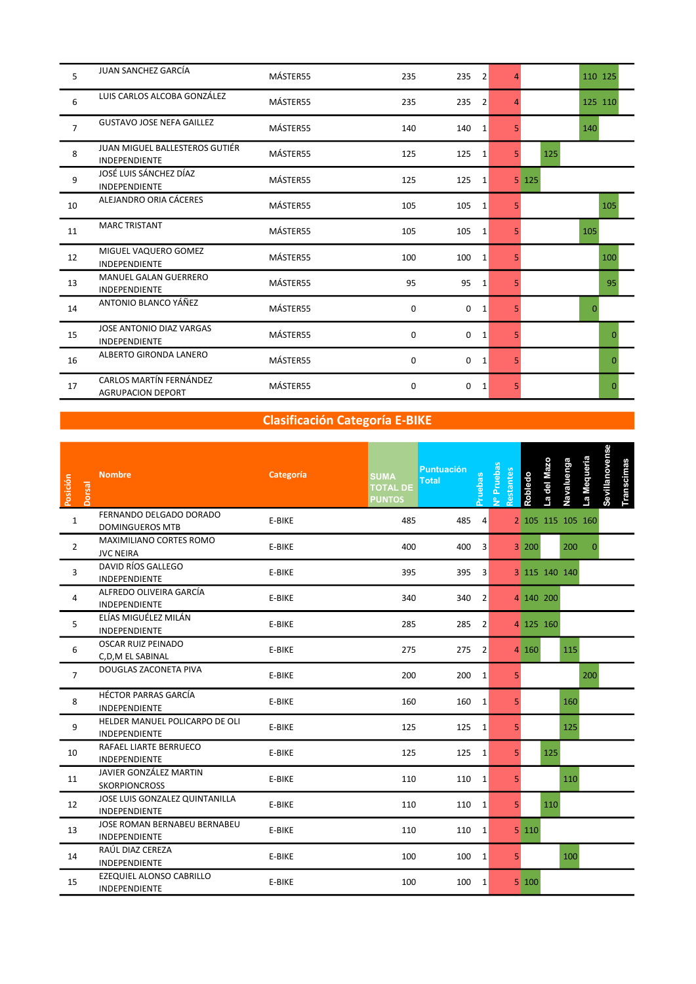| 5              | JUAN SANCHEZ GARCÍA                                    | MÁSTER55 | 235      | 235<br>$\vert$ 2      |                | 110 125  |
|----------------|--------------------------------------------------------|----------|----------|-----------------------|----------------|----------|
| 6              | LUIS CARLOS ALCOBA GONZÁLEZ                            | MÁSTER55 | 235      | 235<br>$\overline{2}$ |                | 125 110  |
| $\overline{7}$ | <b>GUSTAVO JOSE NEFA GAILLEZ</b>                       | MÁSTER55 | 140      | 140<br>1              | 5.             | 140      |
| 8              | JUAN MIGUEL BALLESTEROS GUTIÉR<br><b>INDEPENDIENTE</b> | MÁSTER55 | 125      | 125<br>1              | 5 <sup>1</sup> | 125      |
| 9              | JOSÉ LUIS SÁNCHEZ DÍAZ<br><b>INDEPENDIENTE</b>         | MÁSTER55 | 125      | 125<br>$\mathbf{1}$   |                | 5 125    |
| 10             | ALEJANDRO ORIA CÁCERES                                 | MÁSTER55 | 105      | 105<br>1              | 5.             | 105      |
| 11             | <b>MARC TRISTANT</b>                                   | MÁSTER55 | 105      | 105<br>1              | 5.             | 105      |
| 12             | MIGUEL VAQUERO GOMEZ<br><b>INDEPENDIENTE</b>           | MÁSTER55 | 100      | 100<br>1              | 5.             | 100      |
| 13             | <b>MANUEL GALAN GUERRERO</b><br><b>INDEPENDIENTE</b>   | MÁSTER55 | 95       | 95<br>1               | 5.             | 95       |
| 14             | ANTONIO BLANCO YÁÑEZ                                   | MÁSTER55 | $\Omega$ | $\mathbf 0$<br>1      | 5.             | $\Omega$ |
| 15             | JOSE ANTONIO DIAZ VARGAS<br><b>INDEPENDIENTE</b>       | MÁSTER55 | 0        | 0<br>1                | 5.             | 0        |
| 16             | ALBERTO GIRONDA LANERO                                 | MÁSTER55 | 0        | $\mathbf 0$<br>1      | 5.             | $\Omega$ |
| 17             | CARLOS MARTÍN FERNÁNDEZ<br><b>AGRUPACION DEPORT</b>    | MÁSTER55 | 0        | 0<br>1                | 5.             | n        |

# Clasificación Categoría E-BIKE

| Posición<br><b>Dorsal</b> | <b>Nombre</b>                                     | <b>Categoría</b> | <b>SUMA</b><br><b>TOTAL DE</b><br><b>PUNTOS</b> | <b>Puntuación</b><br><b>Total</b> | Pruebas        | Nº Pruebas<br>Restantes |                | Robledo | a del Mazo | Navaluenga    | La Mequeria       | Sevillanovense | <b>Transcimas</b> |  |  |
|---------------------------|---------------------------------------------------|------------------|-------------------------------------------------|-----------------------------------|----------------|-------------------------|----------------|---------|------------|---------------|-------------------|----------------|-------------------|--|--|
| $\mathbf{1}$              | FERNANDO DELGADO DORADO<br><b>DOMINGUEROS MTB</b> | E-BIKE           | 485                                             | 485                               | 4              |                         |                |         |            |               | 2 105 115 105 160 |                |                   |  |  |
| $\overline{2}$            | MAXIMILIANO CORTES ROMO<br><b>JVC NEIRA</b>       | E-BIKE           | 400                                             | 400                               | 3              |                         |                | 3 200   |            | 200           | $\Omega$          |                |                   |  |  |
| 3                         | DAVID RÍOS GALLEGO<br>INDEPENDIENTE               | E-BIKE           | 395                                             | 395                               | 3              |                         |                |         |            | 3 115 140 140 |                   |                |                   |  |  |
| 4                         | ALFREDO OLIVEIRA GARCÍA<br>INDEPENDIENTE          | E-BIKE           | 340                                             | 340                               | $\vert$ 2      |                         |                |         | 4 140 200  |               |                   |                |                   |  |  |
| 5                         | ELÍAS MIGUÉLEZ MILÁN<br>INDEPENDIENTE             | E-BIKE           | 285                                             | 285                               | $\overline{2}$ |                         |                |         | 4 125 160  |               |                   |                |                   |  |  |
| 6                         | <b>OSCAR RUIZ PEINADO</b><br>C,D,M EL SABINAL     | E-BIKE           | 275                                             | 275                               | $\overline{2}$ |                         |                | 4 160   |            | 115           |                   |                |                   |  |  |
| $\overline{7}$            | DOUGLAS ZACONETA PIVA                             | E-BIKE           | 200                                             | 200                               | 1              |                         | 5 <sup>1</sup> |         |            |               | 200               |                |                   |  |  |
| 8                         | HÉCTOR PARRAS GARCÍA<br>INDEPENDIENTE             | E-BIKE           | 160                                             | 160 1                             |                |                         | 5 <sub>1</sub> |         |            | 160           |                   |                |                   |  |  |
| 9                         | HELDER MANUEL POLICARPO DE OLI<br>INDEPENDIENTE   | E-BIKE           | 125                                             | 125 1                             |                |                         | 5.             |         |            | 125           |                   |                |                   |  |  |
| 10                        | RAFAEL LIARTE BERRUECO<br>INDEPENDIENTE           | E-BIKE           | 125                                             | 125 1                             |                |                         | 5 <sup>1</sup> |         | 125        |               |                   |                |                   |  |  |
| 11                        | JAVIER GONZÁLEZ MARTIN<br><b>SKORPIONCROSS</b>    | E-BIKE           | 110                                             | 110 1                             |                |                         | 5 <sup>1</sup> |         |            | 110           |                   |                |                   |  |  |
| 12                        | JOSE LUIS GONZALEZ QUINTANILLA<br>INDEPENDIENTE   | E-BIKE           | 110                                             | 110 1                             |                |                         | 5 <sup>1</sup> |         | 110        |               |                   |                |                   |  |  |
| 13                        | JOSE ROMAN BERNABEU BERNABEU<br>INDEPENDIENTE     | E-BIKE           | 110                                             | 110 1                             |                |                         |                | 5 110   |            |               |                   |                |                   |  |  |
| 14                        | RAÚL DIAZ CEREZA<br>INDEPENDIENTE                 | E-BIKE           | 100                                             | 100                               | 1              |                         | 5 <sup>1</sup> |         |            | 100           |                   |                |                   |  |  |
| 15                        | EZEQUIEL ALONSO CABRILLO<br>INDEPENDIENTE         | E-BIKE           | 100                                             | 100 1                             |                |                         |                | 5 100   |            |               |                   |                |                   |  |  |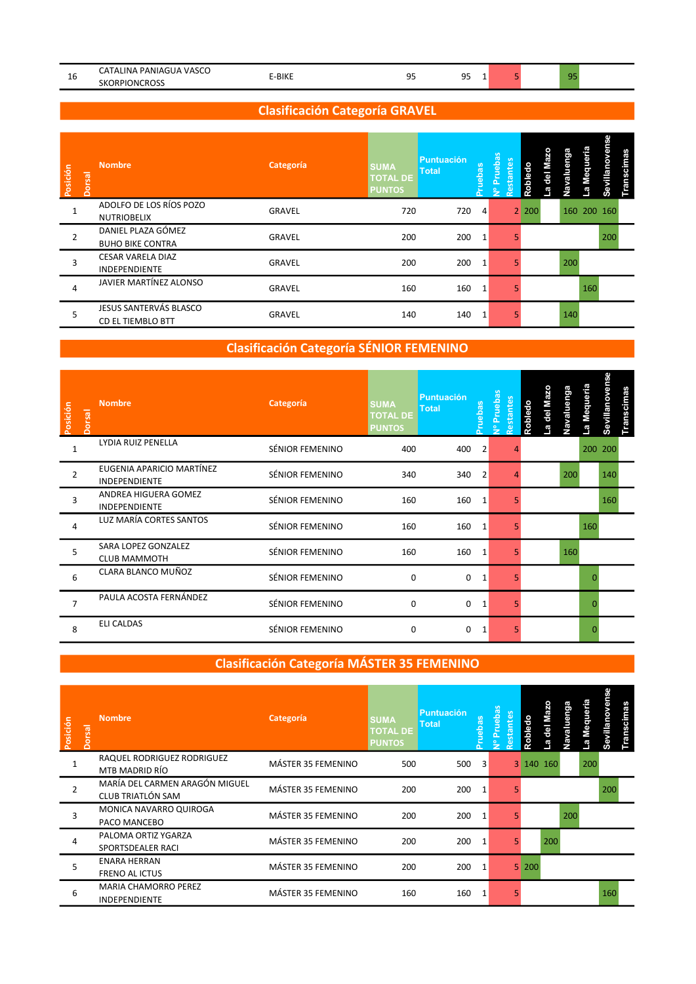|         | I IN 4<br>PANIAC<br><b>VASC</b><br>$\mathbf{v}$ |       |            | $\sim$ $\sim$ | OF |  |
|---------|-------------------------------------------------|-------|------------|---------------|----|--|
| ᅩ<br>__ | $\sim$<br>SΚ<br>ORPIO<br><b>INC</b>             | -BIKE | --<br>$ -$ | --<br>$ -$    |    |  |

### Clasificación Categoría GRAVEL

| Posición<br>orsal | <b>Nombre</b>                                 | Categoría | <b>SUMA</b><br><b>TOTAL DE</b><br><b>PUNTOS</b> | Puntuación<br>Total | ebas                    | ruebas<br>tes<br>$\frac{1}{10}$<br><u>ռ</u> | 유<br>ਨ    | nga<br>Œ | Mequeria    | villanoven<br>nscimas<br>တိ |
|-------------------|-----------------------------------------------|-----------|-------------------------------------------------|---------------------|-------------------------|---------------------------------------------|-----------|----------|-------------|-----------------------------|
|                   | ADOLFO DE LOS RÍOS POZO<br><b>NUTRIOBELIX</b> | GRAVEL    | 720                                             | 720                 | $\overline{4}$          |                                             | $2 \ 200$ |          | 160 200 160 |                             |
| $\overline{2}$    | DANIEL PLAZA GÓMEZ<br><b>BUHO BIKE CONTRA</b> | GRAVEL    | 200                                             | 200                 | $\overline{\mathbf{1}}$ |                                             |           |          |             | 200                         |
| 3                 | CESAR VARELA DIAZ<br>INDEPENDIENTE            | GRAVEL    | 200                                             | 200                 | -1                      |                                             |           | 200      |             |                             |
|                   | JAVIER MARTÍNEZ ALONSO                        | GRAVEL    | 160                                             | 160                 | $\overline{1}$          |                                             |           |          | 160         |                             |
| 5                 | JESUS SANTERVÁS BLASCO<br>CD EL TIEMBLO BTT   | GRAVEL    | 140                                             | 140                 |                         |                                             |           | 140      |             |                             |

## Clasificación Categoría SÉNIOR FEMENINO

| Posición<br><b>Dorsal</b> | <b>Nombre</b>                                     | Categoría       | <b>SUMA</b><br><b>TOTAL DE</b><br><b>PUNTOS</b> | <b>Puntuación</b><br><b>Total</b> | Pruebas        | Pruebas<br>Restantes<br>$\frac{9}{2}$ | Robledo | del Maz | Navaluenga | La Mequeria | <b>Sevillanovense</b> | <b>Transcimas</b> |
|---------------------------|---------------------------------------------------|-----------------|-------------------------------------------------|-----------------------------------|----------------|---------------------------------------|---------|---------|------------|-------------|-----------------------|-------------------|
|                           | LYDIA RUIZ PENELLA                                | SÉNIOR FEMENINO | 400                                             | 400                               | 2              |                                       |         |         |            |             | 200 200               |                   |
| $\overline{2}$            | EUGENIA APARICIO MARTÍNEZ<br><b>INDEPENDIENTE</b> | SÉNIOR FEMENINO | 340                                             | 340                               | $\overline{2}$ |                                       |         |         | 200        |             | 140                   |                   |
| 3                         | ANDREA HIGUERA GOMEZ<br>INDEPENDIENTE             | SÉNIOR FEMENINO | 160                                             | 160                               | 1              |                                       |         |         |            |             | 160                   |                   |
| 4                         | LUZ MARÍA CORTES SANTOS                           | SÉNIOR FEMENINO | 160                                             | 160                               | 1              |                                       |         |         |            | 160         |                       |                   |
| 5                         | SARA LOPEZ GONZALEZ<br><b>CLUB MAMMOTH</b>        | SÉNIOR FEMENINO | 160                                             | 160                               | 1              |                                       |         |         | 160        |             |                       |                   |
| 6                         | CLARA BLANCO MUÑOZ                                | SÉNIOR FEMENINO | 0                                               | $\mathbf 0$                       | 1              |                                       |         |         |            |             |                       |                   |
|                           | PAULA ACOSTA FERNÁNDEZ                            | SÉNIOR FEMENINO | $\Omega$                                        | 0                                 | 1              |                                       |         |         |            |             |                       |                   |
| 8                         | <b>ELI CALDAS</b>                                 | SÉNIOR FEMENINO | 0                                               | 0                                 | 1              |                                       |         |         |            |             |                       |                   |

### Clasificación Categoría MÁSTER 35 FEMENINO

| Posición | <b>Nombre</b><br>orsal                              | Categoría          | <b>SUMA</b><br><b>TOTAL DE</b><br><b>PUNTOS</b> | <b>Puntuación</b><br>Total | ebas   | <b>Pruebas</b> | හි<br>stante | $\circ$<br>ō<br>oble |           | uenga | Mequeria | Sevillanoven<br>Transcimas |
|----------|-----------------------------------------------------|--------------------|-------------------------------------------------|----------------------------|--------|----------------|--------------|----------------------|-----------|-------|----------|----------------------------|
|          | RAQUEL RODRIGUEZ RODRIGUEZ<br>MTB MADRID RÍO        | MÁSTER 35 FEMENINO | 500                                             | 500                        | $_{3}$ |                |              |                      | 3 140 160 |       | 200      |                            |
|          | MARÍA DEL CARMEN ARAGÓN MIGUEL<br>CLUB TRIATLÓN SAM | MÁSTER 35 FEMENINO | 200                                             | 200                        | 1      |                |              |                      |           |       |          | -200                       |
| 3        | MONICA NAVARRO QUIROGA<br>PACO MANCEBO              | MÁSTER 35 FEMENINO | 200                                             | 200 1                      |        |                |              |                      |           | 200   |          |                            |
| 4        | PALOMA ORTIZ YGARZA<br>SPORTSDEALER RACI            | MÁSTER 35 FEMENINO | 200                                             | 200 1                      |        |                |              |                      | 200       |       |          |                            |
| 5        | <b>ENARA HERRAN</b><br>FRENO AL ICTUS               | MÁSTER 35 FEMENINO | 200                                             | 200                        | 1      |                |              | 5 200                |           |       |          |                            |
| 6        | MARIA CHAMORRO PEREZ<br>INDEPENDIENTE               | MÁSTER 35 FEMENINO | 160                                             | 160                        |        |                |              |                      |           |       |          | 160                        |